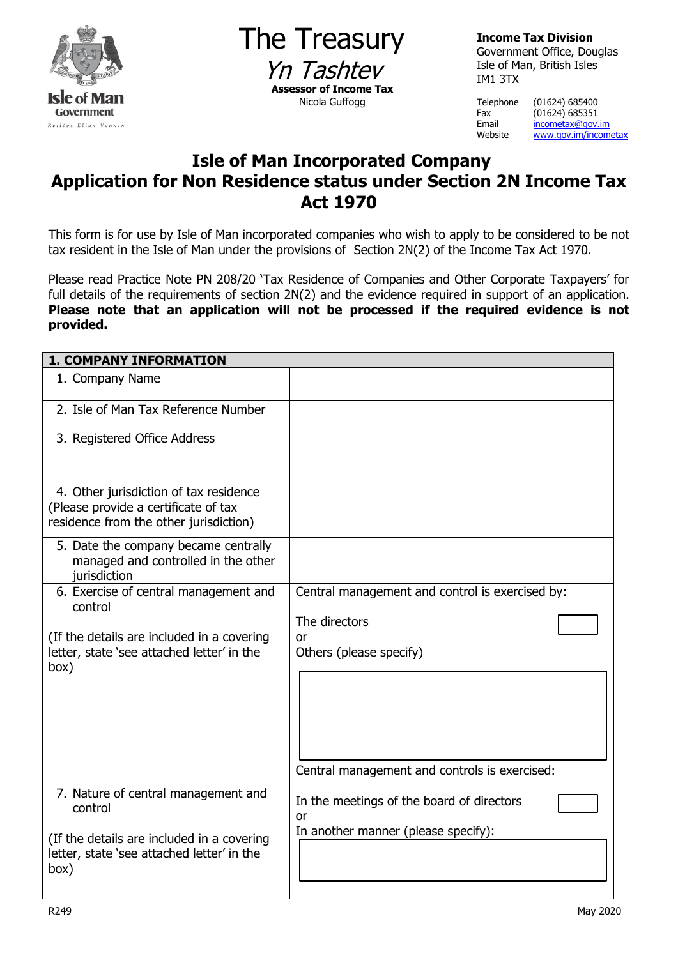

The Treasury Yn Tashtey **Assessor of Income Tax** Nicola Guffogg

**Income Tax Division** Government Office, Douglas Isle of Man, British Isles IM1 3TX

Telephone (01624) 685400

Fax (01624) 685351<br>Email <u>incometax@gov.</u> Email [incometax@gov.im](mailto:incometax@gov.im)<br>Website www.gov.im/incom [www.gov.im/incometax](http://www.gov.im/incometax)

## **Isle of Man Incorporated Company Application for Non Residence status under Section 2N Income Tax Act 1970**

This form is for use by Isle of Man incorporated companies who wish to apply to be considered to be not tax resident in the Isle of Man under the provisions of Section 2N(2) of the Income Tax Act 1970.

Please read Practice Note PN 208/20 'Tax Residence of Companies and Other Corporate Taxpayers' for full details of the requirements of section 2N(2) and the evidence required in support of an application. **Please note that an application will not be processed if the required evidence is not provided.** 

| <b>1. COMPANY INFORMATION</b>                                                                                                                      |                                                                                                                                         |  |
|----------------------------------------------------------------------------------------------------------------------------------------------------|-----------------------------------------------------------------------------------------------------------------------------------------|--|
| 1. Company Name                                                                                                                                    |                                                                                                                                         |  |
| 2. Isle of Man Tax Reference Number                                                                                                                |                                                                                                                                         |  |
| 3. Registered Office Address                                                                                                                       |                                                                                                                                         |  |
| 4. Other jurisdiction of tax residence<br>(Please provide a certificate of tax<br>residence from the other jurisdiction)                           |                                                                                                                                         |  |
| 5. Date the company became centrally<br>managed and controlled in the other<br>jurisdiction                                                        |                                                                                                                                         |  |
| 6. Exercise of central management and<br>control                                                                                                   | Central management and control is exercised by:<br>The directors                                                                        |  |
| (If the details are included in a covering<br>letter, state 'see attached letter' in the<br>box)                                                   | <sub>O</sub> r<br>Others (please specify)                                                                                               |  |
| 7. Nature of central management and<br>control<br>(If the details are included in a covering<br>letter, state 'see attached letter' in the<br>box) | Central management and controls is exercised:<br>In the meetings of the board of directors<br>0r<br>In another manner (please specify): |  |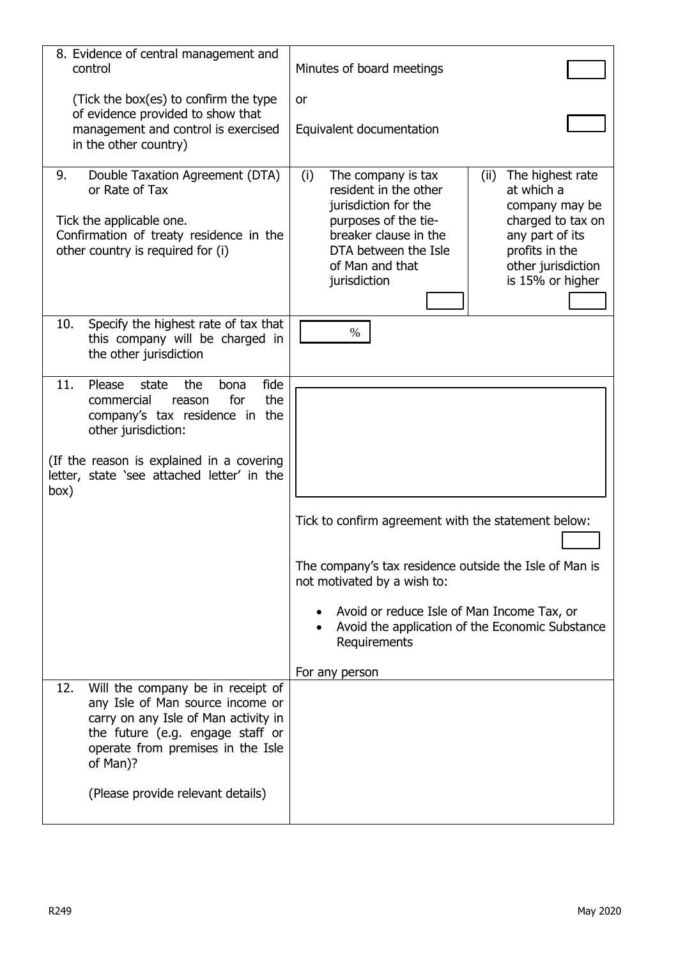| 8. Evidence of central management and<br>control                                                                                                                                                          | Minutes of board meetings                                                                                                                                                                                                       |
|-----------------------------------------------------------------------------------------------------------------------------------------------------------------------------------------------------------|---------------------------------------------------------------------------------------------------------------------------------------------------------------------------------------------------------------------------------|
| (Tick the box(es) to confirm the type                                                                                                                                                                     | <b>or</b>                                                                                                                                                                                                                       |
| of evidence provided to show that<br>management and control is exercised<br>in the other country)                                                                                                         | Equivalent documentation                                                                                                                                                                                                        |
| Double Taxation Agreement (DTA)<br>9.<br>or Rate of Tax<br>Tick the applicable one.<br>Confirmation of treaty residence in the                                                                            | The highest rate<br>(i)<br>The company is tax<br>(ii)<br>resident in the other<br>at which a<br>jurisdiction for the<br>company may be<br>purposes of the tie-<br>charged to tax on<br>breaker clause in the<br>any part of its |
| other country is required for (i)                                                                                                                                                                         | DTA between the Isle<br>profits in the<br>of Man and that<br>other jurisdiction<br>is 15% or higher<br>jurisdiction                                                                                                             |
| Specify the highest rate of tax that<br>10.<br>this company will be charged in<br>the other jurisdiction                                                                                                  | $\%$                                                                                                                                                                                                                            |
| fide<br>11.<br>Please<br>the<br>state<br>bona<br>the<br>for<br>commercial<br>reason<br>company's tax residence in the<br>other jurisdiction:                                                              |                                                                                                                                                                                                                                 |
| (If the reason is explained in a covering<br>letter, state 'see attached letter' in the<br>box)                                                                                                           |                                                                                                                                                                                                                                 |
|                                                                                                                                                                                                           | Tick to confirm agreement with the statement below:                                                                                                                                                                             |
|                                                                                                                                                                                                           | The company's tax residence outside the Isle of Man is<br>not motivated by a wish to:                                                                                                                                           |
|                                                                                                                                                                                                           | Avoid or reduce Isle of Man Income Tax, or<br>Avoid the application of the Economic Substance<br>Requirements                                                                                                                   |
|                                                                                                                                                                                                           | For any person                                                                                                                                                                                                                  |
| Will the company be in receipt of<br>12.<br>any Isle of Man source income or<br>carry on any Isle of Man activity in<br>the future (e.g. engage staff or<br>operate from premises in the Isle<br>of Man)? |                                                                                                                                                                                                                                 |
| (Please provide relevant details)                                                                                                                                                                         |                                                                                                                                                                                                                                 |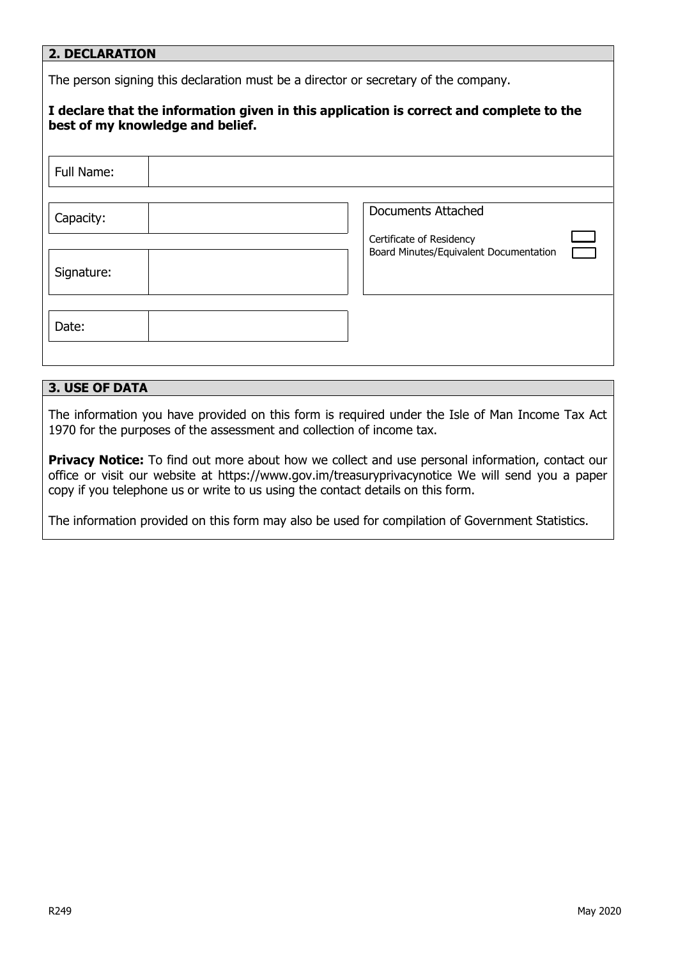## **2. DECLARATION**

The person signing this declaration must be a director or secretary of the company.

| best of my knowledge and belief. | I declare that the information given in this application is correct and complete to the         |
|----------------------------------|-------------------------------------------------------------------------------------------------|
| Full Name:                       |                                                                                                 |
| Capacity:<br>Signature:          | <b>Documents Attached</b><br>Certificate of Residency<br>Board Minutes/Equivalent Documentation |
| Date:                            |                                                                                                 |

## **3. USE OF DATA**

The information you have provided on this form is required under the Isle of Man Income Tax Act 1970 for the purposes of the assessment and collection of income tax.

**Privacy Notice:** To find out more about how we collect and use personal information, contact our office or visit our website at https://www.gov.im/treasuryprivacynotice We will send you a paper copy if you telephone us or write to us using the contact details on this form.

The information provided on this form may also be used for compilation of Government Statistics.